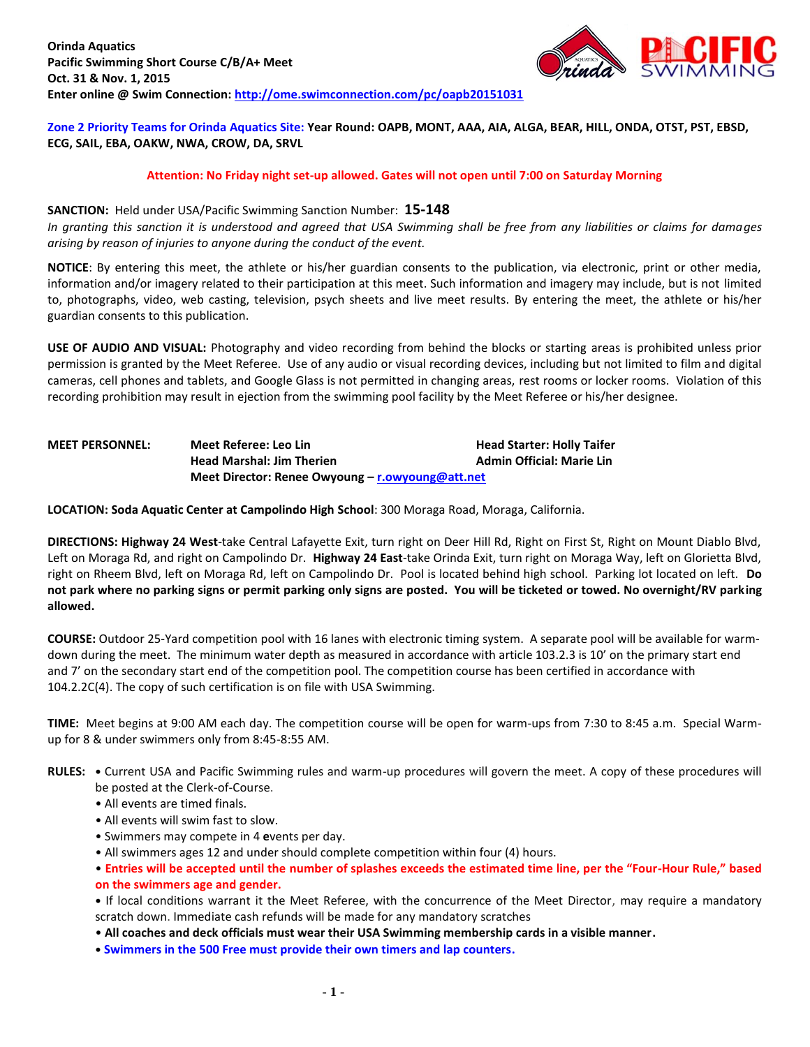

**Zone 2 Priority Teams for Orinda Aquatics Site: Year Round: OAPB, MONT, AAA, AIA, ALGA, BEAR, HILL, ONDA, OTST, PST, EBSD, ECG, SAIL, EBA, OAKW, NWA, CROW, DA, SRVL**

### **Attention: No Friday night set-up allowed. Gates will not open until 7:00 on Saturday Morning**

#### **SANCTION:** Held under USA/Pacific Swimming Sanction Number: **15-148**

*In granting this sanction it is understood and agreed that USA Swimming shall be free from any liabilities or claims for damages arising by reason of injuries to anyone during the conduct of the event.*

**NOTICE**: By entering this meet, the athlete or his/her guardian consents to the publication, via electronic, print or other media, information and/or imagery related to their participation at this meet. Such information and imagery may include, but is not limited to, photographs, video, web casting, television, psych sheets and live meet results. By entering the meet, the athlete or his/her guardian consents to this publication.

**USE OF AUDIO AND VISUAL:** Photography and video recording from behind the blocks or starting areas is prohibited unless prior permission is granted by the Meet Referee. Use of any audio or visual recording devices, including but not limited to film and digital cameras, cell phones and tablets, and Google Glass is not permitted in changing areas, rest rooms or locker rooms. Violation of this recording prohibition may result in ejection from the swimming pool facility by the Meet Referee or his/her designee.

# **MEET PERSONNEL: Meet Referee: Leo Lin Head Starter: Holly Taifer Head Marshal: Jim Therien Admin Official: Marie Lin Meet Director: Renee Owyoung – [r.owyoung@att.net](mailto:r.owyoung@att.net)**

**LOCATION: Soda Aquatic Center at Campolindo High School**: 300 Moraga Road, Moraga, California.

**DIRECTIONS: Highway 24 West**-take Central Lafayette Exit, turn right on Deer Hill Rd, Right on First St, Right on Mount Diablo Blvd, Left on Moraga Rd, and right on Campolindo Dr. **Highway 24 East**-take Orinda Exit, turn right on Moraga Way, left on Glorietta Blvd, right on Rheem Blvd, left on Moraga Rd, left on Campolindo Dr. Pool is located behind high school. Parking lot located on left. **Do not park where no parking signs or permit parking only signs are posted. You will be ticketed or towed. No overnight/RV parking allowed.**

**COURSE:** Outdoor 25-Yard competition pool with 16 lanes with electronic timing system. A separate pool will be available for warmdown during the meet. The minimum water depth as measured in accordance with article 103.2.3 is 10' on the primary start end and 7' on the secondary start end of the competition pool. The competition course has been certified in accordance with 104.2.2C(4). The copy of such certification is on file with USA Swimming.

**TIME:** Meet begins at 9:00 AM each day. The competition course will be open for warm-ups from 7:30 to 8:45 a.m. Special Warmup for 8 & under swimmers only from 8:45-8:55 AM.

- **RULES:** Current USA and Pacific Swimming rules and warm-up procedures will govern the meet. A copy of these procedures will be posted at the Clerk-of-Course.
	- All events are timed finals.
	- All events will swim fast to slow.
	- Swimmers may compete in 4 **e**vents per day.
	- All swimmers ages 12 and under should complete competition within four (4) hours.
	- **Entries will be accepted until the number of splashes exceeds the estimated time line, per the "Four-Hour Rule," based on the swimmers age and gender.**
	- **•** If local conditions warrant it the Meet Referee, with the concurrence of the Meet Director, may require a mandatory scratch down. Immediate cash refunds will be made for any mandatory scratches
	- **All coaches and deck officials must wear their USA Swimming membership cards in a visible manner.**
	- **• Swimmers in the 500 Free must provide their own timers and lap counters.**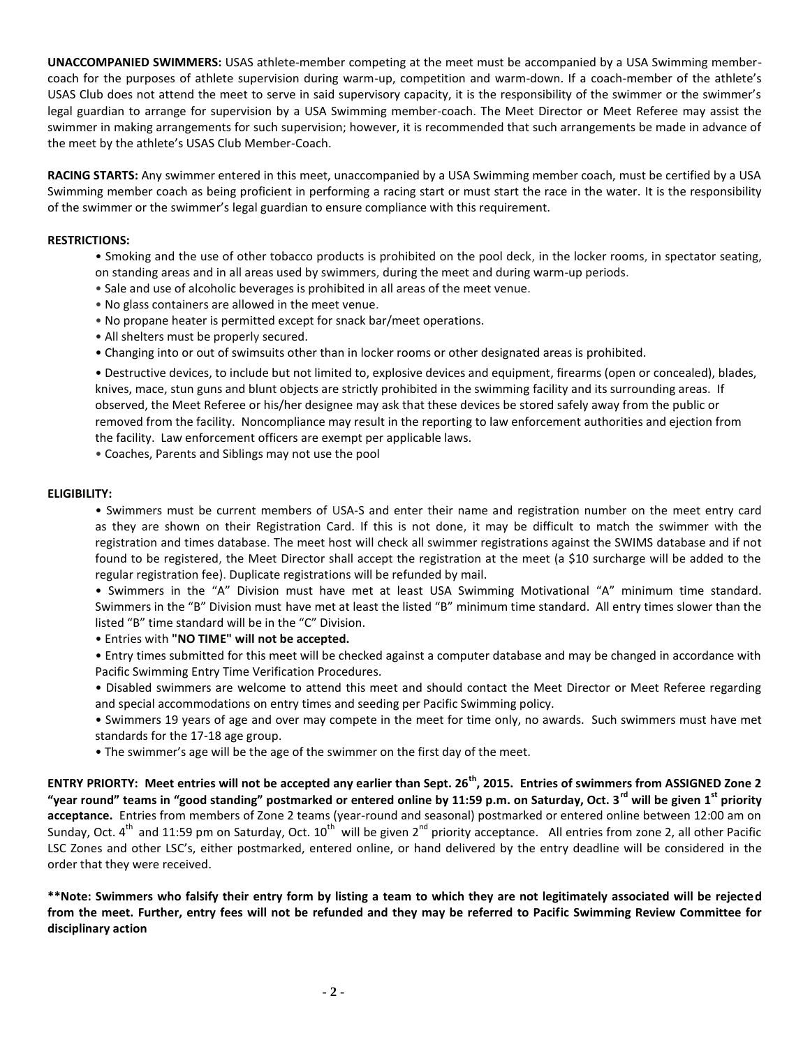**UNACCOMPANIED SWIMMERS:** USAS athlete-member competing at the meet must be accompanied by a USA Swimming membercoach for the purposes of athlete supervision during warm-up, competition and warm-down. If a coach-member of the athlete's USAS Club does not attend the meet to serve in said supervisory capacity, it is the responsibility of the swimmer or the swimmer's legal guardian to arrange for supervision by a USA Swimming member-coach. The Meet Director or Meet Referee may assist the swimmer in making arrangements for such supervision; however, it is recommended that such arrangements be made in advance of the meet by the athlete's USAS Club Member-Coach.

**RACING STARTS:** Any swimmer entered in this meet, unaccompanied by a USA Swimming member coach, must be certified by a USA Swimming member coach as being proficient in performing a racing start or must start the race in the water. It is the responsibility of the swimmer or the swimmer's legal guardian to ensure compliance with this requirement.

### **RESTRICTIONS:**

- Smoking and the use of other tobacco products is prohibited on the pool deck, in the locker rooms, in spectator seating, on standing areas and in all areas used by swimmers, during the meet and during warm-up periods.
- Sale and use of alcoholic beverages is prohibited in all areas of the meet venue.
- No glass containers are allowed in the meet venue.
- No propane heater is permitted except for snack bar/meet operations.
- All shelters must be properly secured.
- Changing into or out of swimsuits other than in locker rooms or other designated areas is prohibited.

• Destructive devices, to include but not limited to, explosive devices and equipment, firearms (open or concealed), blades, knives, mace, stun guns and blunt objects are strictly prohibited in the swimming facility and its surrounding areas. If observed, the Meet Referee or his/her designee may ask that these devices be stored safely away from the public or removed from the facility. Noncompliance may result in the reporting to law enforcement authorities and ejection from the facility. Law enforcement officers are exempt per applicable laws.

• Coaches, Parents and Siblings may not use the pool

## **ELIGIBILITY:**

• Swimmers must be current members of USA-S and enter their name and registration number on the meet entry card as they are shown on their Registration Card. If this is not done, it may be difficult to match the swimmer with the registration and times database. The meet host will check all swimmer registrations against the SWIMS database and if not found to be registered, the Meet Director shall accept the registration at the meet (a \$10 surcharge will be added to the regular registration fee). Duplicate registrations will be refunded by mail.

• Swimmers in the "A" Division must have met at least USA Swimming Motivational "A" minimum time standard. Swimmers in the "B" Division must have met at least the listed "B" minimum time standard. All entry times slower than the listed "B" time standard will be in the "C" Division.

• Entries with **"NO TIME" will not be accepted.**

• Entry times submitted for this meet will be checked against a computer database and may be changed in accordance with Pacific Swimming Entry Time Verification Procedures.

- Disabled swimmers are welcome to attend this meet and should contact the Meet Director or Meet Referee regarding and special accommodations on entry times and seeding per Pacific Swimming policy.
- Swimmers 19 years of age and over may compete in the meet for time only, no awards. Such swimmers must have met standards for the 17-18 age group.
- The swimmer's age will be the age of the swimmer on the first day of the meet.

**ENTRY PRIORTY: Meet entries will not be accepted any earlier than Sept. 26th, 2015. Entries of swimmers from ASSIGNED Zone 2 "year round" teams in "good standing" postmarked or entered online by 11:59 p.m. on Saturday, Oct. 3rd will be given 1st priority acceptance.** Entries from members of Zone 2 teams (year-round and seasonal) postmarked or entered online between 12:00 am on Sunday, Oct. 4<sup>th</sup> and 11:59 pm on Saturday, Oct. 10<sup>th</sup> will be given 2<sup>nd</sup> priority acceptance. All entries from zone 2, all other Pacific LSC Zones and other LSC's, either postmarked, entered online, or hand delivered by the entry deadline will be considered in the order that they were received.

**\*\*Note: Swimmers who falsify their entry form by listing a team to which they are not legitimately associated will be rejected from the meet. Further, entry fees will not be refunded and they may be referred to Pacific Swimming Review Committee for disciplinary action**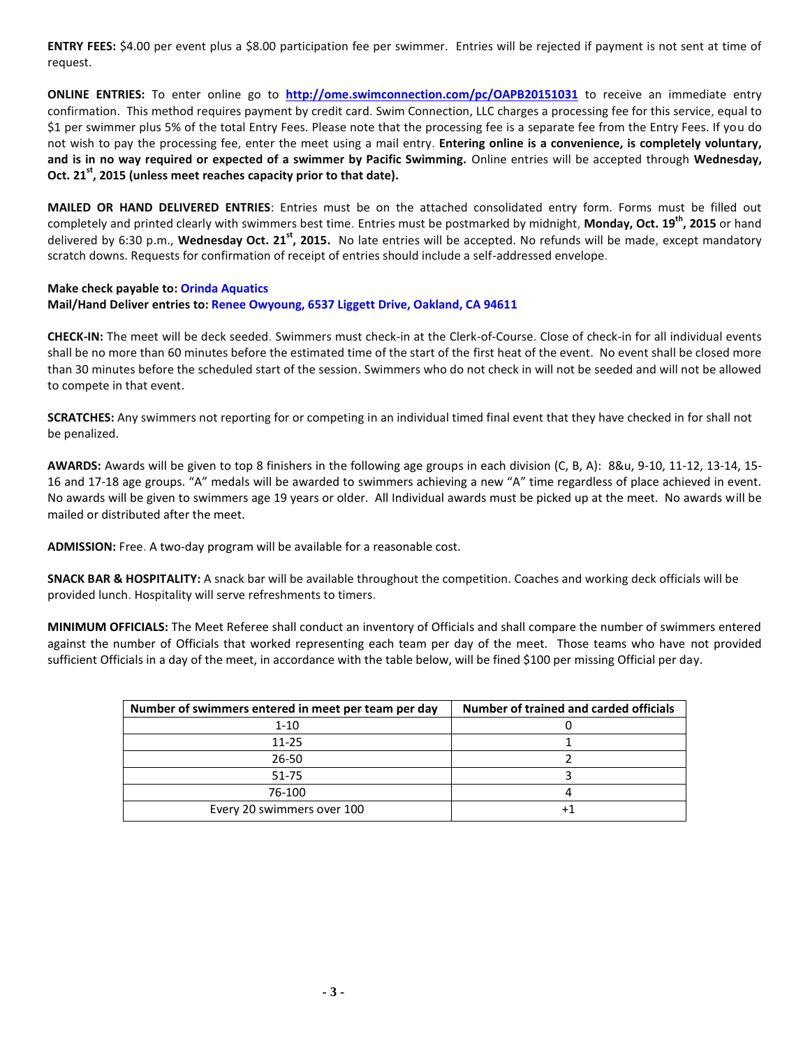**ENTRY FEES:** \$4.00 per event plus a \$8.00 participation fee per swimmer. Entries will be rejected if payment is not sent at time of request.

**ONLINE ENTRIES:** To enter online go to **[http://ome.swimconnection.com/pc/OAPB20151031](http://ome.swimconnection.com/pc/OAPB20151031530)** to receive an immediate entry confirmation. This method requires payment by credit card. Swim Connection, LLC charges a processing fee for this service, equal to \$1 per swimmer plus 5% of the total Entry Fees. Please note that the processing fee is a separate fee from the Entry Fees. If you do not wish to pay the processing fee, enter the meet using a mail entry. **Entering online is a convenience, is completely voluntary, and is in no way required or expected of a swimmer by Pacific Swimming.** Online entries will be accepted through **Wednesday, Oct. 21 st, 2015 (unless meet reaches capacity prior to that date).**

**MAILED OR HAND DELIVERED ENTRIES**: Entries must be on the attached consolidated entry form. Forms must be filled out completely and printed clearly with swimmers best time. Entries must be postmarked by midnight, **Monday, Oct. 19 th , 2015** or hand delivered by 6:30 p.m., Wednesday Oct. 21<sup>st</sup>, 2015. No late entries will be accepted. No refunds will be made, except mandatory scratch downs. Requests for confirmation of receipt of entries should include a self-addressed envelope.

# **Make check payable to: Orinda Aquatics Mail/Hand Deliver entries to: Renee Owyoung, 6537 Liggett Drive, Oakland, CA 94611**

**CHECK-IN:** The meet will be deck seeded. Swimmers must check-in at the Clerk-of-Course. Close of check-in for all individual events shall be no more than 60 minutes before the estimated time of the start of the first heat of the event. No event shall be closed more than 30 minutes before the scheduled start of the session. Swimmers who do not check in will not be seeded and will not be allowed to compete in that event.

**SCRATCHES:** Any swimmers not reporting for or competing in an individual timed final event that they have checked in for shall not be penalized.

**AWARDS:** Awards will be given to top 8 finishers in the following age groups in each division (C, B, A): 8&u, 9-10, 11-12, 13-14, 15- 16 and 17-18 age groups. "A" medals will be awarded to swimmers achieving a new "A" time regardless of place achieved in event. No awards will be given to swimmers age 19 years or older. All Individual awards must be picked up at the meet. No awards will be mailed or distributed after the meet.

**ADMISSION:** Free. A two-day program will be available for a reasonable cost.

**SNACK BAR & HOSPITALITY:** A snack bar will be available throughout the competition. Coaches and working deck officials will be provided lunch. Hospitality will serve refreshments to timers.

**MINIMUM OFFICIALS:** The Meet Referee shall conduct an inventory of Officials and shall compare the number of swimmers entered against the number of Officials that worked representing each team per day of the meet. Those teams who have not provided sufficient Officials in a day of the meet, in accordance with the table below, will be fined \$100 per missing Official per day.

| Number of swimmers entered in meet per team per day | Number of trained and carded officials |
|-----------------------------------------------------|----------------------------------------|
| 1-10                                                |                                        |
| $11 - 25$                                           |                                        |
| 26-50                                               |                                        |
| 51-75                                               |                                        |
| 76-100                                              |                                        |
| Every 20 swimmers over 100                          |                                        |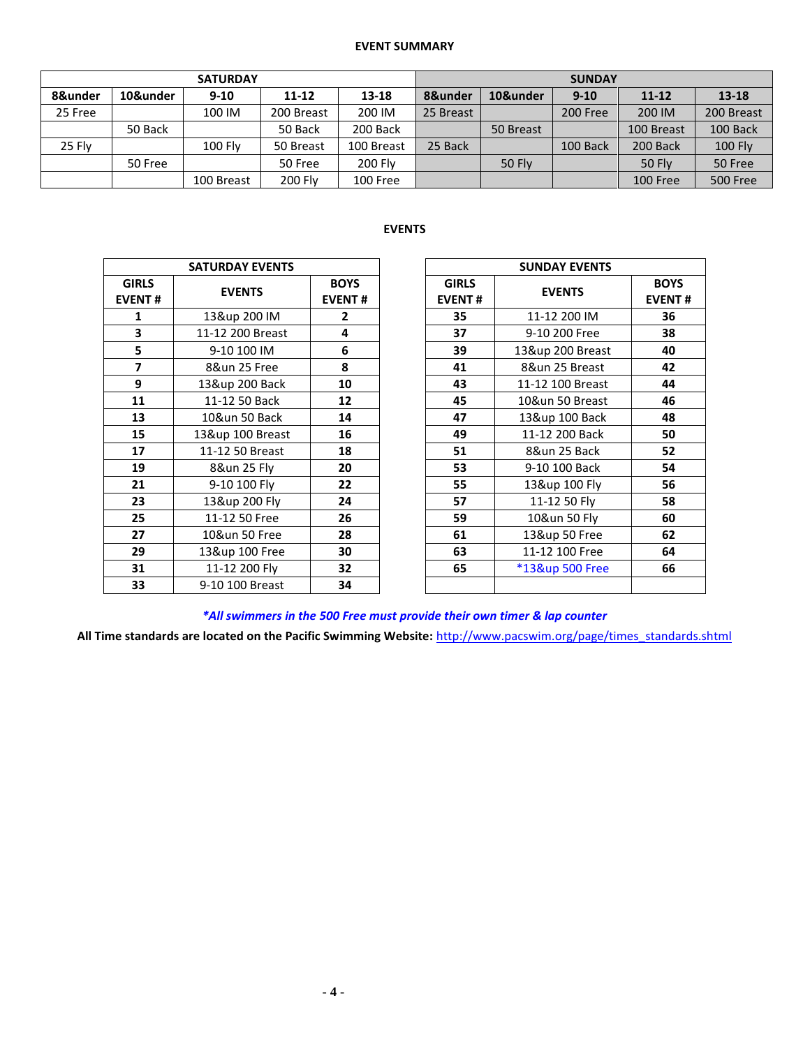## **EVENT SUMMARY**

|         |          | <b>SATURDAY</b> |            | <b>SUNDAY</b>  |           |               |          |               |                 |  |
|---------|----------|-----------------|------------|----------------|-----------|---------------|----------|---------------|-----------------|--|
| 8&under | 10&under | $9 - 10$        | 11-12      | $13 - 18$      | 8&under   | 10&under      | $9 - 10$ | $11 - 12$     | 13-18           |  |
| 25 Free |          | 100 IM          | 200 Breast | 200 IM         | 25 Breast |               | 200 Free | 200 IM        | 200 Breast      |  |
|         | 50 Back  |                 | 50 Back    | 200 Back       |           | 50 Breast     |          | 100 Breast    | 100 Back        |  |
| 25 Fly  |          | $100$ Fly       | 50 Breast  | 100 Breast     | 25 Back   |               | 100 Back | 200 Back      | <b>100 Fly</b>  |  |
|         | 50 Free  |                 | 50 Free    | <b>200 Flv</b> |           | <b>50 Fly</b> |          | <b>50 Flv</b> | 50 Free         |  |
|         |          | 100 Breast      | 200 Fly    | 100 Free       |           |               |          | 100 Free      | <b>500 Free</b> |  |

# **EVENTS**

|                               | <b>SATURDAY EVENTS</b> |                              | <b>SUNDAY EVENTS</b>          |                  |
|-------------------------------|------------------------|------------------------------|-------------------------------|------------------|
| <b>GIRLS</b><br><b>EVENT#</b> | <b>EVENTS</b>          | <b>BOYS</b><br><b>EVENT#</b> | <b>GIRLS</b><br><b>EVENT#</b> | <b>EVENTS</b>    |
| 1                             | 13&up 200 IM           | $\mathbf{2}$                 | 35                            | 11-12 200 IM     |
| 3                             | 11-12 200 Breast       | 4                            | 37                            | 9-10 200 Free    |
| 5                             | 9-10 100 IM            | 6                            | 39                            | 13&up 200 Breast |
| $\overline{\phantom{a}}$      | 8&un 25 Free           | 8                            | 41                            | 8&un 25 Breast   |
| 9                             | 13&up 200 Back         | 10                           | 43                            | 11-12 100 Breast |
| 11                            | 11-12 50 Back          | 12                           | 45                            | 10&un 50 Breast  |
| 13                            | 10&un 50 Back          | 14                           | 47                            | 13&up 100 Back   |
| 15                            | 13&up 100 Breast       | 16                           | 49                            | 11-12 200 Back   |
| 17                            | 11-12 50 Breast        | 18                           | 51                            | 8&un 25 Back     |
| 19                            | 8&un 25 Fly            | 20                           | 53                            | 9-10 100 Back    |
| 21                            | 9-10 100 Fly           | 22                           | 55                            | 13&up 100 Fly    |
| 23                            | 13&up 200 Fly          | 24                           | 57                            | 11-12 50 Fly     |
| 25                            | 11-12 50 Free          | 26                           | 59                            | 10&un 50 Fly     |
| 27                            | 10&un 50 Free          | 28                           | 61                            | 13&up 50 Free    |
| 29                            | 13&up 100 Free         | 30                           | 63                            | 11-12 100 Free   |
| 31                            | 11-12 200 Fly          | 32                           | 65                            | *13&up 500 Free  |
| 33                            | 9-10 100 Breast        | 34                           |                               |                  |

|                         | <b>SATURDAY EVENTS</b> |                              |    | <b>SUNDAY EVENTS</b>          |                  |                              |  |  |
|-------------------------|------------------------|------------------------------|----|-------------------------------|------------------|------------------------------|--|--|
| <b>IRLS</b><br>ENT#     | <b>EVENTS</b>          | <b>BOYS</b><br><b>EVENT#</b> |    | <b>GIRLS</b><br><b>EVENT#</b> | <b>EVENTS</b>    | <b>BOYS</b><br><b>EVENT#</b> |  |  |
| $\mathbf{1}$            | 13&up 200 IM           | $\mathbf{2}$                 |    | 35                            | 11-12 200 IM     | 36                           |  |  |
| $\overline{\mathbf{3}}$ | 11-12 200 Breast       | 4                            |    | 37                            | 9-10 200 Free    | 38                           |  |  |
| $\overline{\mathbf{5}}$ | 9-10 100 IM            | 6                            |    | 39                            | 13&up 200 Breast | 40                           |  |  |
| $\overline{7}$          | 8&un 25 Free           | 8                            |    | 41                            | 8&un 25 Breast   | 42                           |  |  |
| $\overline{9}$          | 13&up 200 Back         | 10                           |    | 43                            | 11-12 100 Breast | 44                           |  |  |
| 11                      | 11-12 50 Back          | 12                           |    | 45                            | 10&un 50 Breast  | 46                           |  |  |
| 13                      | 10&un 50 Back          | 14                           |    | 47                            | 13&up 100 Back   | 48                           |  |  |
| 15                      | 13&up 100 Breast       | 16                           |    | 49                            | 11-12 200 Back   | 50                           |  |  |
| 17                      | 11-12 50 Breast        | 18                           | 51 |                               | 8&un 25 Back     | 52                           |  |  |
| 19                      | 8&un 25 Fly            | 20                           |    | 53                            | 9-10 100 Back    | 54                           |  |  |
| 21                      | 9-10 100 Fly           | 22                           |    | 55                            | 13&up 100 Fly    | 56                           |  |  |
| 23                      | 13&up 200 Fly          | 24                           |    | 57                            | 11-12 50 Fly     | 58                           |  |  |
| 25                      | 11-12 50 Free          | 26                           |    | 59                            | 10&un 50 Fly     | 60                           |  |  |
| 27                      | 10&un 50 Free          | 28                           |    | 61                            | 13&up 50 Free    | 62                           |  |  |
| 29                      | 13&up 100 Free         | 30                           |    | 63                            | 11-12 100 Free   | 64                           |  |  |
| 31                      | 11-12 200 Fly          | 32                           |    | 65                            | *13&up 500 Free  | 66                           |  |  |
| 33                      | 9-10 100 Breast        | 34                           |    |                               |                  |                              |  |  |

*\*All swimmers in the 500 Free must provide their own timer & lap counter*

**All Time standards are located on the Pacific Swimming Website:** [http://www.pacswim.org/page/times\\_standards.shtml](http://www.pacswim.org/page/times_standards.shtml)